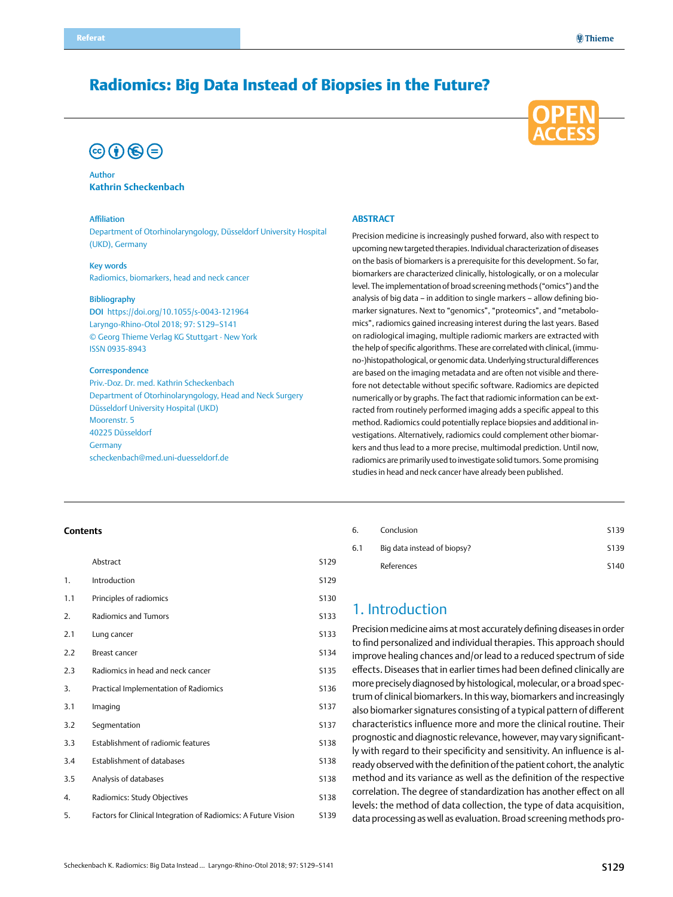# Radiomics: Big Data Instead of Biopsies in the Future?

# $\circledcirc$  (i)  $\circledast$  (=)



#### Author **Kathrin Scheckenbach**

#### Affiliation

Department of Otorhinolaryngology, Düsseldorf University Hospital (UKD), Germany

#### Key words

Radiomics, biomarkers, head and neck cancer

#### Bibliography

DOI https://doi.org/10.1055/s-0043-121964 Laryngo-Rhino-Otol 2018; 97: S129–S141 © Georg Thieme Verlag KG Stuttgart · New York ISSN 0935-8943

#### **Correspondence**

Priv.-Doz. Dr. med. Kathrin Scheckenbach Department of Otorhinolaryngology, Head and Neck Surgery Düsseldorf University Hospital (UKD) Moorenstr. 5 40225 Düsseldorf Germany [scheckenbach@med.uni-duesseldorf.de](mailto:scheckenbach@med.uni-duesseldorf.de)

#### **Abstract**

Precision medicine is increasingly pushed forward, also with respect to upcoming new targeted therapies. Individual characterization of diseases on the basis of biomarkers is a prerequisite for this development. So far, biomarkers are characterized clinically, histologically, or on a molecular level. The implementation of broad screening methods ("omics") and the analysis of big data – in addition to single markers – allow defining biomarker signatures. Next to "genomics", "proteomics", and "metabolomics", radiomics gained increasing interest during the last years. Based on radiological imaging, multiple radiomic markers are extracted with the help of specific algorithms. These are correlated with clinical, (immuno-)histopathological, or genomic data. Underlying structural differences are based on the imaging metadata and are often not visible and therefore not detectable without specific software. Radiomics are depicted numerically or by graphs. The fact that radiomic information can be extracted from routinely performed imaging adds a specific appeal to this method. Radiomics could potentially replace biopsies and additional investigations. Alternatively, radiomics could complement other biomarkers and thus lead to a more precise, multimodal prediction. Until now, radiomics are primarily used to investigate solid tumors. Some promising studies in head and neck cancer have already been published.

#### **Contents**

|     | Abstract                                                       | S129        |
|-----|----------------------------------------------------------------|-------------|
| 1.  | Introduction                                                   | S129        |
| 1.1 | Principles of radiomics                                        | S130        |
| 2.  | Radiomics and Tumors                                           | <b>S133</b> |
| 2.1 | Lung cancer                                                    | <b>S133</b> |
| 2.2 | Breast cancer                                                  | S134        |
| 2.3 | Radiomics in head and neck cancer                              | S135        |
| 3.  | Practical Implementation of Radiomics                          | S136        |
| 3.1 | Imaging                                                        | S137        |
| 3.2 | Segmentation                                                   | S137        |
| 3.3 | Establishment of radiomic features                             | S138        |
| 3.4 | Establishment of databases                                     | <b>S138</b> |
| 3.5 | Analysis of databases                                          | <b>S138</b> |
| 4.  | Radiomics: Study Objectives                                    | <b>S138</b> |
| 5.  | Factors for Clinical Integration of Radiomics: A Future Vision | S139        |

# 6. [Conclusion](#page-10-0) S139 6.1 [Big data instead of biopsy?](#page-10-0) S139

# [References](#page-11-0) S140

## 1. Introduction

Precision medicine aims at most accurately defining diseases in order to find personalized and individual therapies. This approach should improve healing chances and/or lead to a reduced spectrum of side effects. Diseases that in earlier times had been defined clinically are more precisely diagnosed by histological, molecular, or a broad spectrum of clinical biomarkers. In this way, biomarkers and increasingly also biomarker signatures consisting of a typical pattern of different characteristics influence more and more the clinical routine. Their prognostic and diagnostic relevance, however, may vary significantly with regard to their specificity and sensitivity. An influence is already observed with the definition of the patient cohort, the analytic method and its variance as well as the definition of the respective correlation. The degree of standardization has another effect on all levels: the method of data collection, the type of data acquisition, data processing as well as evaluation. Broad screening methods pro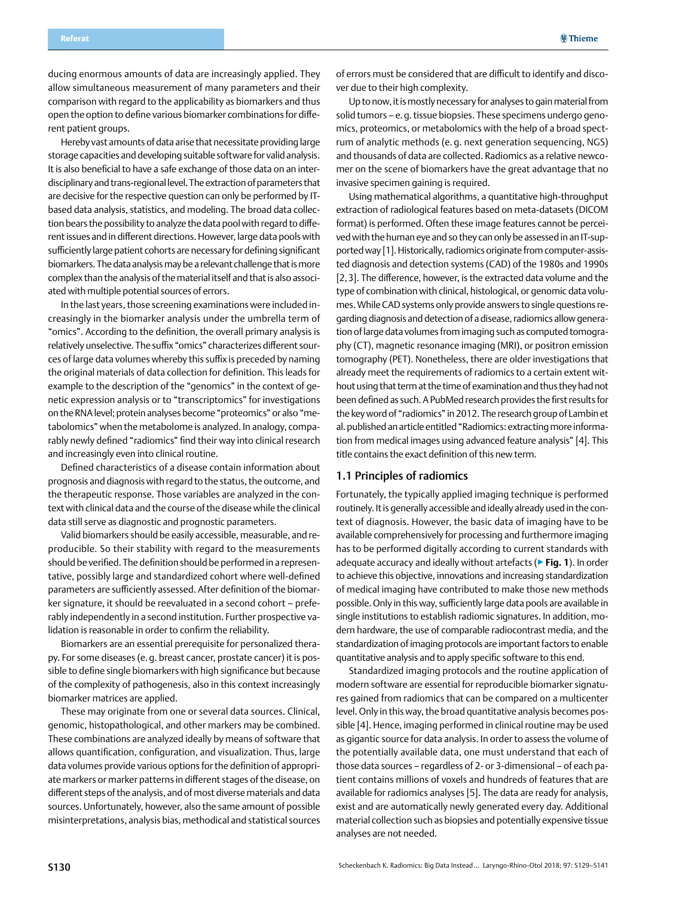<span id="page-1-0"></span>ducing enormous amounts of data are increasingly applied. They allow simultaneous measurement of many parameters and their comparison with regard to the applicability as biomarkers and thus open the option to define various biomarker combinations for different patient groups.

Hereby vast amounts of data arise that necessitate providing large storage capacities and developing suitable software for valid analysis. It is also beneficial to have a safe exchange of those data on an interdisciplinary and trans-regional level. The extraction of parameters that are decisive for the respective question can only be performed by ITbased data analysis, statistics, and modeling. The broad data collection bears the possibility to analyze the data pool with regard to different issues and in different directions. However, large data pools with sufficiently large patient cohorts are necessary for defining significant biomarkers. The data analysis may be a relevant challenge that is more complex than the analysis of the material itself and that is also associated with multiple potential sources of errors.

In the last years, those screening examinations were included increasingly in the biomarker analysis under the umbrella term of "omics". According to the definition, the overall primary analysis is relatively unselective. The suffix "omics" characterizes different sources of large data volumes whereby this suffix is preceded by naming the original materials of data collection for definition. This leads for example to the description of the "genomics" in the context of genetic expression analysis or to "transcriptomics" for investigations on the RNA level; protein analyses become "proteomics" or also "metabolomics" when the metabolome is analyzed. In analogy, comparably newly defined "radiomics" find their way into clinical research and increasingly even into clinical routine.

Defined characteristics of a disease contain information about prognosis and diagnosis with regard to the status, the outcome, and the therapeutic response. Those variables are analyzed in the context with clinical data and the course of the disease while the clinical data still serve as diagnostic and prognostic parameters.

Valid biomarkers should be easily accessible, measurable, and reproducible. So their stability with regard to the measurements should be verified. The definition should be performed in a representative, possibly large and standardized cohort where well-defined parameters are sufficiently assessed. After definition of the biomarker signature, it should be reevaluated in a second cohort – preferably independently in a second institution. Further prospective validation is reasonable in order to confirm the reliability.

Biomarkers are an essential prerequisite for personalized therapy. For some diseases (e.g. breast cancer, prostate cancer) it is possible to define single biomarkers with high significance but because of the complexity of pathogenesis, also in this context increasingly biomarker matrices are applied.

These may originate from one or several data sources. Clinical, genomic, histopathological, and other markers may be combined. These combinations are analyzed ideally by means of software that allows quantification, configuration, and visualization. Thus, large data volumes provide various options for the definition of appropriate markers or marker patterns in different stages of the disease, on different steps of the analysis, and of most diverse materials and data sources. Unfortunately, however, also the same amount of possible misinterpretations, analysis bias, methodical and statistical sources

of errors must be considered that are difficult to identify and discover due to their high complexity.

Up to now, it is mostly necessary for analyses to gain material from solid tumors – e.g. tissue biopsies. These specimens undergo genomics, proteomics, or metabolomics with the help of a broad spectrum of analytic methods (e. g. next generation sequencing, NGS) and thousands of data are collected. Radiomics as a relative newcomer on the scene of biomarkers have the great advantage that no invasive specimen gaining is required.

Using mathematical algorithms, a quantitative high-throughput extraction of radiological features based on meta-datasets (DICOM format) is performed. Often these image features cannot be perceived with the human eye and so they can only be assessed in an IT-supported way [1]. Historically, radiomics originate from computer-assisted diagnosis and detection systems (CAD) of the 1980s and 1990s [2,3]. The difference, however, is the extracted data volume and the type of combination with clinical, histological, or genomic data volumes. While CAD systems only provide answers to single questions regarding diagnosis and detection of a disease, radiomics allow generation of large data volumes from imaging such as computed tomography (CT), magnetic resonance imaging (MRI), or positron emission tomography (PET). Nonetheless, there are older investigations that already meet the requirements of radiomics to a certain extent without using that term at the time of examination and thus they had not been defined as such. A PubMed research provides the first results for the key word of "radiomics" in 2012. The research group of Lambin et al. published an article entitled "Radiomics: extracting more information from medical images using advanced feature analysis" [4]. This title contains the exact definition of this new term.

## 1.1 Principles of radiomics

Fortunately, the typically applied imaging technique is performed routinely. It is generally accessible and ideally already used in the context of diagnosis. However, the basic data of imaging have to be available comprehensively for processing and furthermore imaging has to be performed digitally according to current standards with adequate accuracy and ideally without artefacts (▶**Fig. 1**). In order to achieve this objective, innovations and increasing standardization of medical imaging have contributed to make those new methods possible. Only in this way, sufficiently large data pools are available in single institutions to establish radiomic signatures. In addition, modern hardware, the use of comparable radiocontrast media, and the standardization of imaging protocols are important factors to enable quantitative analysis and to apply specific software to this end.

Standardized imaging protocols and the routine application of modern software are essential for reproducible biomarker signatures gained from radiomics that can be compared on a multicenter level. Only in this way, the broad quantitative analysis becomes possible [4]. Hence, imaging performed in clinical routine may be used as gigantic source for data analysis. In order to assess the volume of the potentially available data, one must understand that each of those data sources – regardless of 2- or 3-dimensional – of each patient contains millions of voxels and hundreds of features that are available for radiomics analyses [5]. The data are ready for analysis, exist and are automatically newly generated every day. Additional material collection such as biopsies and potentially expensive tissue analyses are not needed.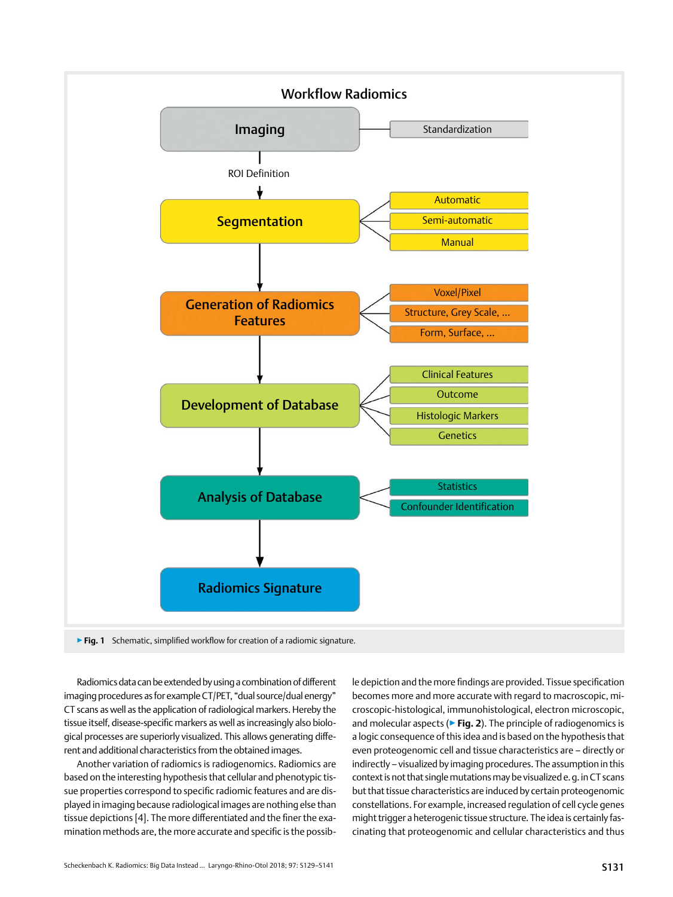

Radiomics data can be extended by using a combination of different imaging procedures as for example CT/PET, "dual source/dual energy" CT scans as well as the application of radiological markers. Hereby the tissue itself, disease-specific markers as well as increasingly also biological processes are superiorly visualized. This allows generating different and additional characteristics from the obtained images.

Another variation of radiomics is radiogenomics. Radiomics are based on the interesting hypothesis that cellular and phenotypic tissue properties correspond to specific radiomic features and are displayed in imaging because radiological images are nothing else than tissue depictions [4]. The more differentiated and the finer the examination methods are, the more accurate and specific is the possible depiction and the more findings are provided. Tissue specification becomes more and more accurate with regard to macroscopic, microscopic-histological, immunohistological, electron microscopic, and molecular aspects (▶**Fig. 2**). The principle of radiogenomics is a logic consequence of this idea and is based on the hypothesis that even proteogenomic cell and tissue characteristics are – directly or indirectly – visualized by imaging procedures. The assumption in this context is not that single mutations may be visualized e.g. in CT scans but that tissue characteristics are induced by certain proteogenomic constellations. For example, increased regulation of cell cycle genes might trigger a heterogenic tissue structure. The idea is certainly fascinating that proteogenomic and cellular characteristics and thus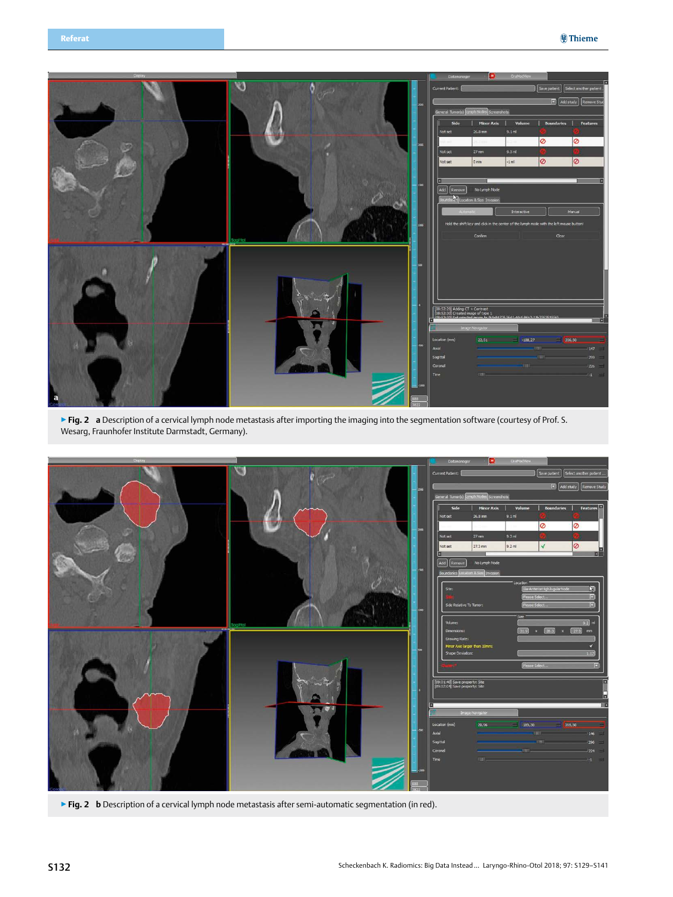

▶ Fig. 2 **a** Description of a cervical lymph node metastasis after importing the imaging into the segmentation software (courtesy of Prof. S. Wesarg, Fraunhofer Institute Darmstadt, Germany).



▶ Fig. 2 **b** Description of a cervical lymph node metastasis after semi-automatic segmentation (in red).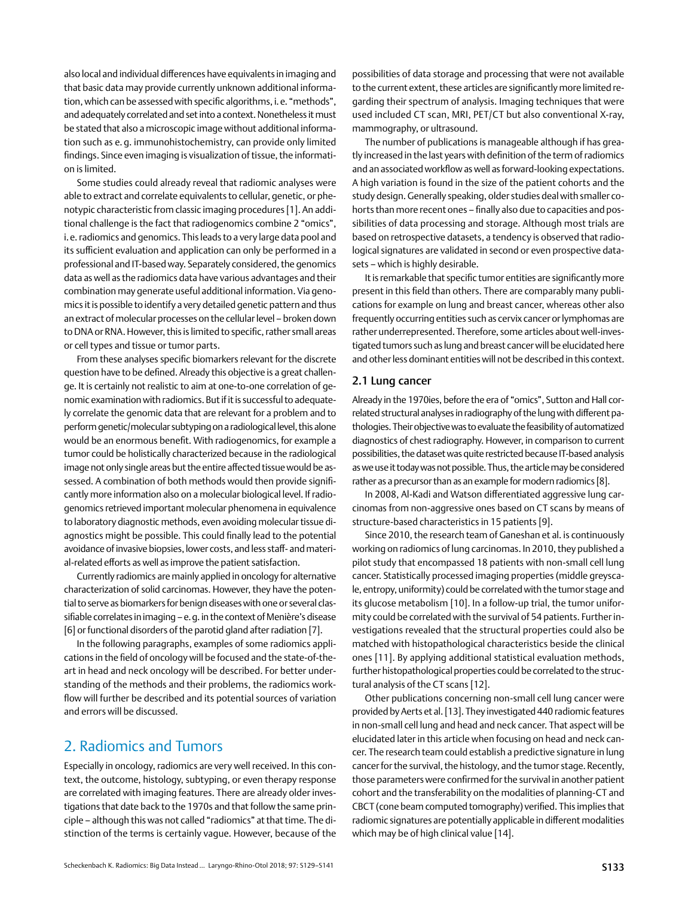<span id="page-4-0"></span>also local and individual differences have equivalents in imaging and that basic data may provide currently unknown additional information, which can be assessed with specific algorithms, i.e. "methods", and adequately correlated and set into a context. Nonetheless it must be stated that also a microscopic image without additional information such as e.g. immunohistochemistry, can provide only limited findings. Since even imaging is visualization of tissue, the information is limited.

Some studies could already reveal that radiomic analyses were able to extract and correlate equivalents to cellular, genetic, or phenotypic characteristic from classic imaging procedures [1]. An additional challenge is the fact that radiogenomics combine 2 "omics", i.e. radiomics and genomics. This leads to a very large data pool and its sufficient evaluation and application can only be performed in a professional and IT-based way. Separately considered, the genomics data as well as the radiomics data have various advantages and their combination may generate useful additional information. Via genomics it is possible to identify a very detailed genetic pattern and thus an extract of molecular processes on the cellular level – broken down to DNA or RNA. However, this is limited to specific, rather small areas or cell types and tissue or tumor parts.

From these analyses specific biomarkers relevant for the discrete question have to be defined. Already this objective is a great challenge. It is certainly not realistic to aim at one-to-one correlation of genomic examination with radiomics. But if it is successful to adequately correlate the genomic data that are relevant for a problem and to perform genetic/molecular subtyping on a radiological level, this alone would be an enormous benefit. With radiogenomics, for example a tumor could be holistically characterized because in the radiological image not only single areas but the entire affected tissue would be assessed. A combination of both methods would then provide significantly more information also on a molecular biological level. If radiogenomics retrieved important molecular phenomena in equivalence to laboratory diagnostic methods, even avoiding molecular tissue diagnostics might be possible. This could finally lead to the potential avoidance of invasive biopsies, lower costs, and less staff- and material-related efforts as well as improve the patient satisfaction.

Currently radiomics are mainly applied in oncology for alternative characterization of solid carcinomas. However, they have the potential to serve as biomarkers for benign diseases with one or several classifiable correlates in imaging – e.g. in the context of Menière's disease [6] or functional disorders of the parotid gland after radiation [7].

In the following paragraphs, examples of some radiomics applications in the field of oncology will be focused and the state-of-theart in head and neck oncology will be described. For better understanding of the methods and their problems, the radiomics workflow will further be described and its potential sources of variation and errors will be discussed.

# 2. Radiomics and Tumors

Especially in oncology, radiomics are very well received. In this context, the outcome, histology, subtyping, or even therapy response are correlated with imaging features. There are already older investigations that date back to the 1970s and that follow the same principle – although this was not called "radiomics" at that time. The distinction of the terms is certainly vague. However, because of the possibilities of data storage and processing that were not available to the current extent, these articles are significantly more limited regarding their spectrum of analysis. Imaging techniques that were used included CT scan, MRI, PET/CT but also conventional X-ray, mammography, or ultrasound.

The number of publications is manageable although if has greatly increased in the last years with definition of the term of radiomics and an associated workflow as well as forward-looking expectations. A high variation is found in the size of the patient cohorts and the study design. Generally speaking, older studies deal with smaller cohorts than more recent ones – finally also due to capacities and possibilities of data processing and storage. Although most trials are based on retrospective datasets, a tendency is observed that radiological signatures are validated in second or even prospective datasets – which is highly desirable.

It is remarkable that specific tumor entities are significantly more present in this field than others. There are comparably many publications for example on lung and breast cancer, whereas other also frequently occurring entities such as cervix cancer or lymphomas are rather underrepresented. Therefore, some articles about well-investigated tumors such as lung and breast cancer will be elucidated here and other less dominant entities will not be described in this context.

### 2.1 Lung cancer

Already in the 1970ies, before the era of "omics", Sutton and Hall correlated structural analyses in radiography of the lung with different pathologies. Their objective was to evaluate the feasibility of automatized diagnostics of chest radiography. However, in comparison to current possibilities, the dataset was quite restricted because IT-based analysis as we use it today was not possible. Thus, the article may be considered rather as a precursor than as an example for modern radiomics [8].

In 2008, Al-Kadi and Watson differentiated aggressive lung carcinomas from non-aggressive ones based on CT scans by means of structure-based characteristics in 15 patients [9].

Since 2010, the research team of Ganeshan et al. is continuously working on radiomics of lung carcinomas. In 2010, they published a pilot study that encompassed 18 patients with non-small cell lung cancer. Statistically processed imaging properties (middle greyscale, entropy, uniformity) could be correlated with the tumor stage and its glucose metabolism [10]. In a follow-up trial, the tumor uniformity could be correlated with the survival of 54 patients. Further investigations revealed that the structural properties could also be matched with histopathological characteristics beside the clinical ones [11]. By applying additional statistical evaluation methods, further histopathological properties could be correlated to the structural analysis of the CT scans [12].

Other publications concerning non-small cell lung cancer were provided by Aerts et al. [13]. They investigated 440 radiomic features in non-small cell lung and head and neck cancer. That aspect will be elucidated later in this article when focusing on head and neck cancer. The research team could establish a predictive signature in lung cancer for the survival, the histology, and the tumor stage. Recently, those parameters were confirmed for the survival in another patient cohort and the transferability on the modalities of planning-CT and CBCT (cone beam computed tomography) verified. This implies that radiomic signatures are potentially applicable in different modalities which may be of high clinical value [14].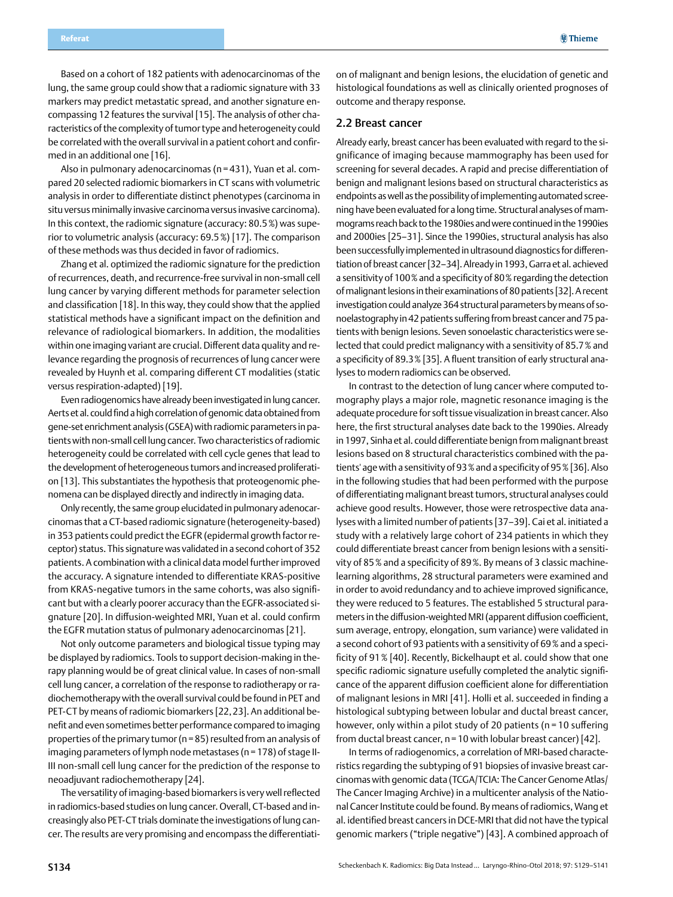<span id="page-5-0"></span>Based on a cohort of 182 patients with adenocarcinomas of the lung, the same group could show that a radiomic signature with 33 markers may predict metastatic spread, and another signature encompassing 12 features the survival [15]. The analysis of other characteristics of the complexity of tumor type and heterogeneity could be correlated with the overall survival in a patient cohort and confirmed in an additional one [16].

Also in pulmonary adenocarcinomas (n=431), Yuan et al. compared 20 selected radiomic biomarkers in CT scans with volumetric analysis in order to differentiate distinct phenotypes (carcinoma in situ versus minimally invasive carcinoma versus invasive carcinoma). In this context, the radiomic signature (accuracy: 80.5%) was superior to volumetric analysis (accuracy: 69.5%) [17]. The comparison of these methods was thus decided in favor of radiomics.

Zhang et al. optimized the radiomic signature for the prediction of recurrences, death, and recurrence-free survival in non-small cell lung cancer by varying different methods for parameter selection and classification [18]. In this way, they could show that the applied statistical methods have a significant impact on the definition and relevance of radiological biomarkers. In addition, the modalities within one imaging variant are crucial. Different data quality and relevance regarding the prognosis of recurrences of lung cancer were revealed by Huynh et al. comparing different CT modalities (static versus respiration-adapted) [19].

Even radiogenomics have already been investigated in lung cancer. Aerts et al. could find a high correlation of genomic data obtained from gene-set enrichment analysis (GSEA) with radiomic parameters in patients with non-small cell lung cancer. Two characteristics of radiomic heterogeneity could be correlated with cell cycle genes that lead to the development of heterogeneous tumors and increased proliferation [13]. This substantiates the hypothesis that proteogenomic phenomena can be displayed directly and indirectly in imaging data.

Only recently, the same group elucidated in pulmonary adenocarcinomas that a CT-based radiomic signature (heterogeneity-based) in 353 patients could predict the EGFR (epidermal growth factor receptor) status. This signature was validated in a second cohort of 352 patients. A combination with a clinical data model further improved the accuracy. A signature intended to differentiate KRAS-positive from KRAS-negative tumors in the same cohorts, was also significant but with a clearly poorer accuracy than the EGFR-associated signature [20]. In diffusion-weighted MRI, Yuan et al. could confirm the EGFR mutation status of pulmonary adenocarcinomas [21].

Not only outcome parameters and biological tissue typing may be displayed by radiomics. Tools to support decision-making in therapy planning would be of great clinical value. In cases of non-small cell lung cancer, a correlation of the response to radiotherapy or radiochemotherapy with the overall survival could be found in PET and PET-CT by means of radiomic biomarkers [22,23]. An additional benefit and even sometimes better performance compared to imaging properties of the primary tumor (n=85) resulted from an analysis of imaging parameters of lymph node metastases (n=178) of stage II-III non-small cell lung cancer for the prediction of the response to neoadjuvant radiochemotherapy [24].

The versatility of imaging-based biomarkers is very well reflected in radiomics-based studies on lung cancer. Overall, CT-based and increasingly also PET-CT trials dominate the investigations of lung cancer. The results are very promising and encompass the differentiati-

on of malignant and benign lesions, the elucidation of genetic and histological foundations as well as clinically oriented prognoses of outcome and therapy response.

### 2.2 Breast cancer

Already early, breast cancer has been evaluated with regard to the significance of imaging because mammography has been used for screening for several decades. A rapid and precise differentiation of benign and malignant lesions based on structural characteristics as endpoints as well as the possibility of implementing automated screening have been evaluated for a long time. Structural analyses of mammograms reach back to the 1980ies and were continued in the 1990ies and 2000ies [25–31]. Since the 1990ies, structural analysis has also been successfully implemented in ultrasound diagnostics for differentiation of breast cancer [32–34]. Already in 1993, Garra et al. achieved a sensitivity of 100% and a specificity of 80% regarding the detection of malignant lesions in their examinations of 80 patients [32]. A recent investigation could analyze 364 structural parameters by means of sonoelastography in 42 patients suffering from breast cancer and 75 patients with benign lesions. Seven sonoelastic characteristics were selected that could predict malignancy with a sensitivity of 85.7% and a specificity of 89.3% [35]. A fluent transition of early structural analyses to modern radiomics can be observed.

In contrast to the detection of lung cancer where computed tomography plays a major role, magnetic resonance imaging is the adequate procedure for soft tissue visualization in breast cancer. Also here, the first structural analyses date back to the 1990ies. Already in 1997, Sinha et al. could differentiate benign from malignant breast lesions based on 8 structural characteristics combined with the patients' age with a sensitivity of 93% and a specificity of 95% [36]. Also in the following studies that had been performed with the purpose of differentiating malignant breast tumors, structural analyses could achieve good results. However, those were retrospective data analyses with a limited number of patients [37–39]. Cai et al. initiated a study with a relatively large cohort of 234 patients in which they could differentiate breast cancer from benign lesions with a sensitivity of 85% and a specificity of 89%. By means of 3 classic machinelearning algorithms, 28 structural parameters were examined and in order to avoid redundancy and to achieve improved significance, they were reduced to 5 features. The established 5 structural parameters in the diffusion-weighted MRI (apparent diffusion coefficient, sum average, entropy, elongation, sum variance) were validated in a second cohort of 93 patients with a sensitivity of 69% and a specificity of 91% [40]. Recently, Bickelhaupt et al. could show that one specific radiomic signature usefully completed the analytic significance of the apparent diffusion coefficient alone for differentiation of malignant lesions in MRI [41]. Holli et al. succeeded in finding a histological subtyping between lobular and ductal breast cancer, however, only within a pilot study of 20 patients (n = 10 suffering from ductal breast cancer, n=10 with lobular breast cancer) [42].

In terms of radiogenomics, a correlation of MRI-based characteristics regarding the subtyping of 91 biopsies of invasive breast carcinomas with genomic data (TCGA/TCIA: The Cancer Genome Atlas/ The Cancer Imaging Archive) in a multicenter analysis of the National Cancer Institute could be found. By means of radiomics, Wang et al. identified breast cancers in DCE-MRI that did not have the typical genomic markers ("triple negative") [43]. A combined approach of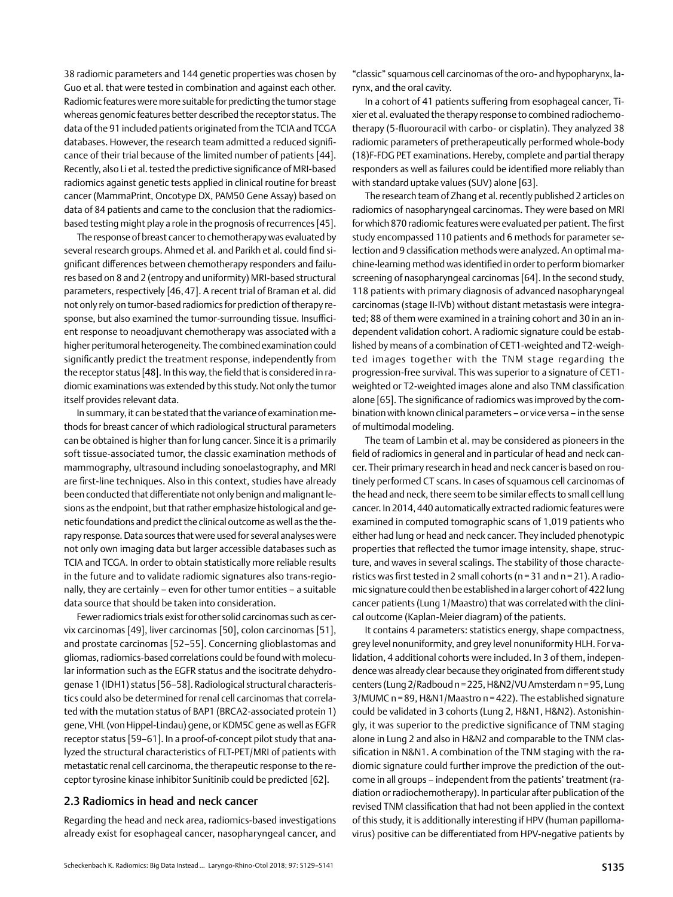<span id="page-6-0"></span>38 radiomic parameters and 144 genetic properties was chosen by Guo et al. that were tested in combination and against each other. Radiomic features were more suitable for predicting the tumor stage whereas genomic features better described the receptor status. The data of the 91 included patients originated from the TCIA and TCGA databases. However, the research team admitted a reduced significance of their trial because of the limited number of patients [44]. Recently, also Li et al. tested the predictive significance of MRI-based radiomics against genetic tests applied in clinical routine for breast cancer (MammaPrint, Oncotype DX, PAM50 Gene Assay) based on data of 84 patients and came to the conclusion that the radiomicsbased testing might play a role in the prognosis of recurrences [45].

The response of breast cancer to chemotherapy was evaluated by several research groups. Ahmed et al. and Parikh et al. could find significant differences between chemotherapy responders and failures based on 8 and 2 (entropy and uniformity) MRI-based structural parameters, respectively [46,47]. A recent trial of Braman et al. did not only rely on tumor-based radiomics for prediction of therapy response, but also examined the tumor-surrounding tissue. Insufficient response to neoadjuvant chemotherapy was associated with a higher peritumoral heterogeneity. The combined examination could significantly predict the treatment response, independently from the receptor status [48]. In this way, the field that is considered in radiomic examinations was extended by this study. Not only the tumor itself provides relevant data.

In summary, it can be stated that the variance of examination methods for breast cancer of which radiological structural parameters can be obtained is higher than for lung cancer. Since it is a primarily soft tissue-associated tumor, the classic examination methods of mammography, ultrasound including sonoelastography, and MRI are first-line techniques. Also in this context, studies have already been conducted that differentiate not only benign and malignant lesions as the endpoint, but that rather emphasize histological and genetic foundations and predict the clinical outcome as well as the therapy response. Data sources that were used for several analyses were not only own imaging data but larger accessible databases such as TCIA and TCGA. In order to obtain statistically more reliable results in the future and to validate radiomic signatures also trans-regionally, they are certainly – even for other tumor entities – a suitable data source that should be taken into consideration.

Fewer radiomics trials exist for other solid carcinomas such as cervix carcinomas [49], liver carcinomas [50], colon carcinomas [51], and prostate carcinomas [52–55]. Concerning glioblastomas and gliomas, radiomics-based correlations could be found with molecular information such as the EGFR status and the isocitrate dehydrogenase 1 (IDH1) status [56–58]. Radiological structural characteristics could also be determined for renal cell carcinomas that correlated with the mutation status of BAP1 (BRCA2-associated protein 1) gene, VHL (von Hippel-Lindau) gene, or KDM5C gene as well as EGFR receptor status [59–61]. In a proof-of-concept pilot study that analyzed the structural characteristics of FLT-PET/MRI of patients with metastatic renal cell carcinoma, the therapeutic response to the receptor tyrosine kinase inhibitor Sunitinib could be predicted [62].

### 2.3 Radiomics in head and neck cancer

Regarding the head and neck area, radiomics-based investigations already exist for esophageal cancer, nasopharyngeal cancer, and "classic" squamous cell carcinomas of the oro- and hypopharynx, larynx, and the oral cavity.

In a cohort of 41 patients suffering from esophageal cancer, Tixier et al. evaluated the therapy response to combined radiochemotherapy (5-fluorouracil with carbo- or cisplatin). They analyzed 38 radiomic parameters of pretherapeutically performed whole-body (18)F-FDG PET examinations. Hereby, complete and partial therapy responders as well as failures could be identified more reliably than with standard uptake values (SUV) alone [63].

The research team of Zhang et al. recently published 2 articles on radiomics of nasopharyngeal carcinomas. They were based on MRI for which 870 radiomic features were evaluated per patient. The first study encompassed 110 patients and 6 methods for parameter selection and 9 classification methods were analyzed. An optimal machine-learning method was identified in order to perform biomarker screening of nasopharyngeal carcinomas [64]. In the second study, 118 patients with primary diagnosis of advanced nasopharyngeal carcinomas (stage II-IVb) without distant metastasis were integrated; 88 of them were examined in a training cohort and 30 in an independent validation cohort. A radiomic signature could be established by means of a combination of CET1-weighted and T2-weighted images together with the TNM stage regarding the progression-free survival. This was superior to a signature of CET1 weighted or T2-weighted images alone and also TNM classification alone [65]. The significance of radiomics was improved by the combination with known clinical parameters – or vice versa – in the sense of multimodal modeling.

The team of Lambin et al. may be considered as pioneers in the field of radiomics in general and in particular of head and neck cancer. Their primary research in head and neck cancer is based on routinely performed CT scans. In cases of squamous cell carcinomas of the head and neck, there seem to be similar effects to small cell lung cancer. In 2014, 440 automatically extracted radiomic features were examined in computed tomographic scans of 1,019 patients who either had lung or head and neck cancer. They included phenotypic properties that reflected the tumor image intensity, shape, structure, and waves in several scalings. The stability of those characteristics was first tested in 2 small cohorts (n=31 and n=21). A radiomic signature could then be established in a larger cohort of 422 lung cancer patients (Lung 1/Maastro) that was correlated with the clinical outcome (Kaplan-Meier diagram) of the patients.

It contains 4 parameters: statistics energy, shape compactness, grey level nonuniformity, and grey level nonuniformity HLH. For validation, 4 additional cohorts were included. In 3 of them, independence was already clear because they originated from different study centers (Lung 2/Radboud n=225, H&N2/VU Amsterdam n=95, Lung 3/MUMC n=89, H&N1/Maastro n=422). The established signature could be validated in 3 cohorts (Lung 2, H&N1, H&N2). Astonishingly, it was superior to the predictive significance of TNM staging alone in Lung 2 and also in H&N2 and comparable to the TNM classification in N&N1. A combination of the TNM staging with the radiomic signature could further improve the prediction of the outcome in all groups – independent from the patients' treatment (radiation or radiochemotherapy). In particular after publication of the revised TNM classification that had not been applied in the context of this study, it is additionally interesting if HPV (human papillomavirus) positive can be differentiated from HPV-negative patients by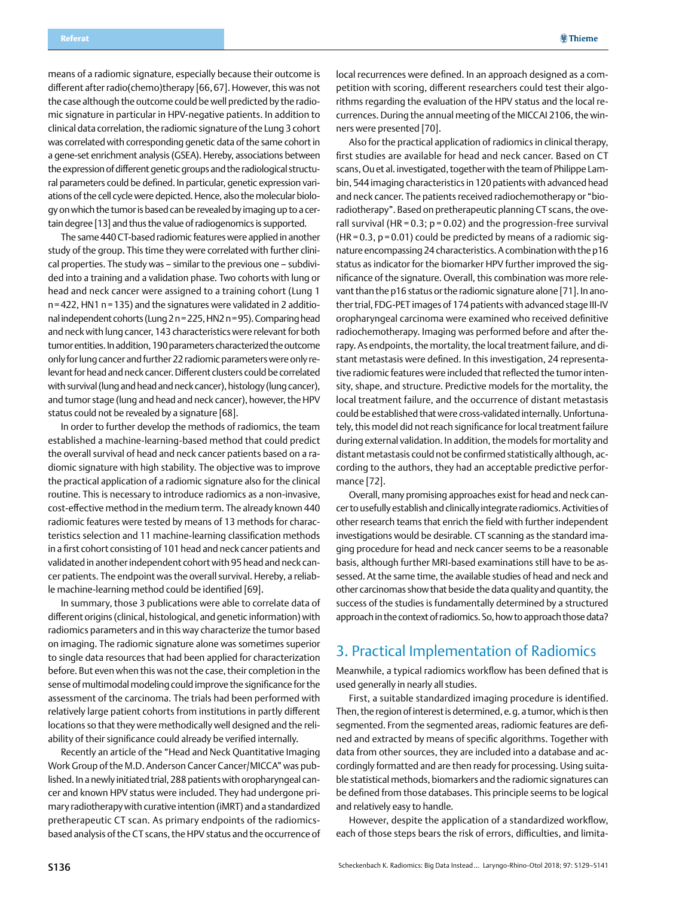<span id="page-7-0"></span>means of a radiomic signature, especially because their outcome is different after radio(chemo)therapy [66,67]. However, this was not the case although the outcome could be well predicted by the radiomic signature in particular in HPV-negative patients. In addition to clinical data correlation, the radiomic signature of the Lung 3 cohort was correlated with corresponding genetic data of the same cohort in a gene-set enrichment analysis (GSEA). Hereby, associations between the expression of different genetic groups and the radiological structural parameters could be defined. In particular, genetic expression variations of the cell cycle were depicted. Hence, also the molecular biology on which the tumor is based can be revealed by imaging up to a certain degree [13] and thus the value of radiogenomics is supported.

The same 440 CT-based radiomic features were applied in another study of the group. This time they were correlated with further clinical properties. The study was – similar to the previous one – subdivided into a training and a validation phase. Two cohorts with lung or head and neck cancer were assigned to a training cohort (Lung 1 n=422, HN1 n=135) and the signatures were validated in 2 additional independent cohorts (Lung 2 n=225, HN2 n=95). Comparing head and neck with lung cancer, 143 characteristics were relevant for both tumor entities. In addition, 190 parameters characterized the outcome only for lung cancer and further 22 radiomic parameters were only relevant for head and neck cancer. Different clusters could be correlated with survival (lung and head and neck cancer), histology (lung cancer), and tumor stage (lung and head and neck cancer), however, the HPV status could not be revealed by a signature [68].

In order to further develop the methods of radiomics, the team established a machine-learning-based method that could predict the overall survival of head and neck cancer patients based on a radiomic signature with high stability. The objective was to improve the practical application of a radiomic signature also for the clinical routine. This is necessary to introduce radiomics as a non-invasive, cost-effective method in the medium term. The already known 440 radiomic features were tested by means of 13 methods for characteristics selection and 11 machine-learning classification methods in a first cohort consisting of 101 head and neck cancer patients and validated in another independent cohort with 95 head and neck cancer patients. The endpoint was the overall survival. Hereby, a reliable machine-learning method could be identified [69].

In summary, those 3 publications were able to correlate data of different origins (clinical, histological, and genetic information) with radiomics parameters and in this way characterize the tumor based on imaging. The radiomic signature alone was sometimes superior to single data resources that had been applied for characterization before. But even when this was not the case, their completion in the sense of multimodal modeling could improve the significance for the assessment of the carcinoma. The trials had been performed with relatively large patient cohorts from institutions in partly different locations so that they were methodically well designed and the reliability of their significance could already be verified internally.

Recently an article of the "Head and Neck Quantitative Imaging Work Group of the M.D. Anderson Cancer Cancer/MICCA" was published. In a newly initiated trial, 288 patients with oropharyngeal cancer and known HPV status were included. They had undergone primary radiotherapy with curative intention (iMRT) and a standardized pretherapeutic CT scan. As primary endpoints of the radiomicsbased analysis of the CT scans, the HPV status and the occurrence of local recurrences were defined. In an approach designed as a competition with scoring, different researchers could test their algorithms regarding the evaluation of the HPV status and the local recurrences. During the annual meeting of the MICCAI 2106, the winners were presented [70].

Also for the practical application of radiomics in clinical therapy, first studies are available for head and neck cancer. Based on CT scans, Ou et al. investigated, together with the team of Philippe Lambin, 544 imaging characteristics in 120 patients with advanced head and neck cancer. The patients received radiochemotherapy or "bioradiotherapy". Based on pretherapeutic planning CT scans, the overall survival (HR =  $0.3$ ;  $p = 0.02$ ) and the progression-free survival  $(HR=0.3, p=0.01)$  could be predicted by means of a radiomic signature encompassing 24 characteristics. A combination with the p16 status as indicator for the biomarker HPV further improved the significance of the signature. Overall, this combination was more relevant than the p16 status or the radiomic signature alone [71]. In another trial, FDG-PET images of 174 patients with advanced stage III-IV oropharyngeal carcinoma were examined who received definitive radiochemotherapy. Imaging was performed before and after therapy. As endpoints, the mortality, the local treatment failure, and distant metastasis were defined. In this investigation, 24 representative radiomic features were included that reflected the tumor intensity, shape, and structure. Predictive models for the mortality, the local treatment failure, and the occurrence of distant metastasis could be established that were cross-validated internally. Unfortunately, this model did not reach significance for local treatment failure during external validation. In addition, the models for mortality and distant metastasis could not be confirmed statistically although, according to the authors, they had an acceptable predictive performance [72].

Overall, many promising approaches exist for head and neck cancer to usefully establish and clinically integrate radiomics. Activities of other research teams that enrich the field with further independent investigations would be desirable. CT scanning as the standard imaging procedure for head and neck cancer seems to be a reasonable basis, although further MRI-based examinations still have to be assessed. At the same time, the available studies of head and neck and other carcinomas show that beside the data quality and quantity, the success of the studies is fundamentally determined by a structured approach in the context of radiomics. So, how to approach those data?

## 3. Practical Implementation of Radiomics

Meanwhile, a typical radiomics workflow has been defined that is used generally in nearly all studies.

First, a suitable standardized imaging procedure is identified. Then, the region of interest is determined, e.g. a tumor, which is then segmented. From the segmented areas, radiomic features are defined and extracted by means of specific algorithms. Together with data from other sources, they are included into a database and accordingly formatted and are then ready for processing. Using suitable statistical methods, biomarkers and the radiomic signatures can be defined from those databases. This principle seems to be logical and relatively easy to handle.

However, despite the application of a standardized workflow, each of those steps bears the risk of errors, difficulties, and limita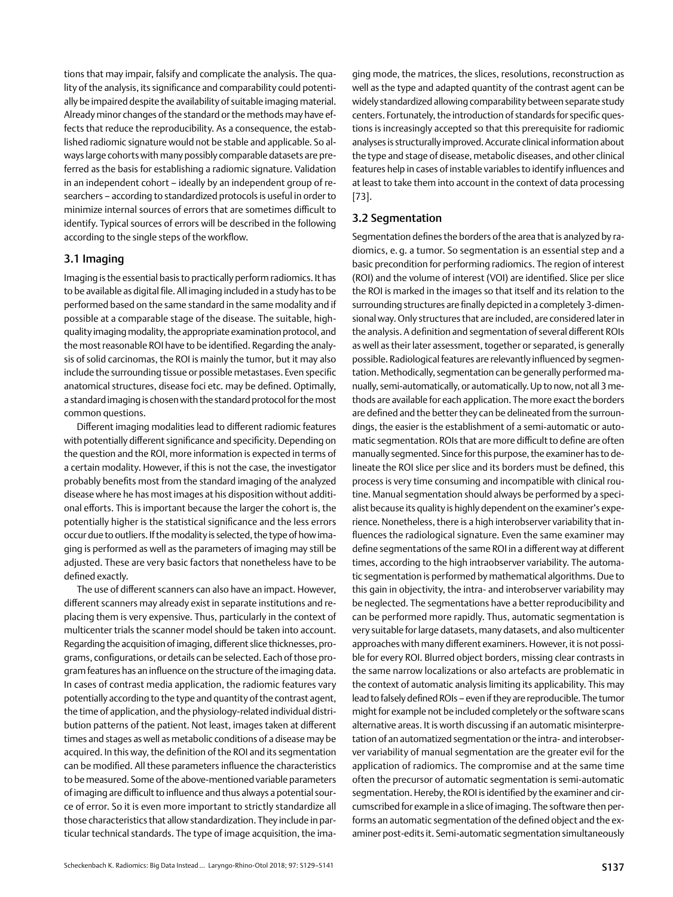<span id="page-8-0"></span>tions that may impair, falsify and complicate the analysis. The quality of the analysis, its significance and comparability could potentially be impaired despite the availability of suitable imaging material. Already minor changes of the standard or the methods may have effects that reduce the reproducibility. As a consequence, the established radiomic signature would not be stable and applicable. So always large cohorts with many possibly comparable datasets are preferred as the basis for establishing a radiomic signature. Validation in an independent cohort – ideally by an independent group of researchers – according to standardized protocols is useful in order to minimize internal sources of errors that are sometimes difficult to identify. Typical sources of errors will be described in the following according to the single steps of the workflow.

### 3.1 Imaging

Imaging is the essential basis to practically perform radiomics. It has to be available as digital file. All imaging included in a study has to be performed based on the same standard in the same modality and if possible at a comparable stage of the disease. The suitable, highquality imaging modality, the appropriate examination protocol, and the most reasonable ROI have to be identified. Regarding the analysis of solid carcinomas, the ROI is mainly the tumor, but it may also include the surrounding tissue or possible metastases. Even specific anatomical structures, disease foci etc. may be defined. Optimally, a standard imaging is chosen with the standard protocol for the most common questions.

Different imaging modalities lead to different radiomic features with potentially different significance and specificity. Depending on the question and the ROI, more information is expected in terms of a certain modality. However, if this is not the case, the investigator probably benefits most from the standard imaging of the analyzed disease where he has most images at his disposition without additional efforts. This is important because the larger the cohort is, the potentially higher is the statistical significance and the less errors occur due to outliers. If the modality is selected, the type of how imaging is performed as well as the parameters of imaging may still be adjusted. These are very basic factors that nonetheless have to be defined exactly.

The use of different scanners can also have an impact. However, different scanners may already exist in separate institutions and replacing them is very expensive. Thus, particularly in the context of multicenter trials the scanner model should be taken into account. Regarding the acquisition of imaging, different slice thicknesses, programs, configurations, or details can be selected. Each of those program features has an influence on the structure of the imaging data. In cases of contrast media application, the radiomic features vary potentially according to the type and quantity of the contrast agent, the time of application, and the physiology-related individual distribution patterns of the patient. Not least, images taken at different times and stages as well as metabolic conditions of a disease may be acquired. In this way, the definition of the ROI and its segmentation can be modified. All these parameters influence the characteristics to be measured. Some of the above-mentioned variable parameters of imaging are difficult to influence and thus always a potential source of error. So it is even more important to strictly standardize all those characteristics that allow standardization. They include in particular technical standards. The type of image acquisition, the imaging mode, the matrices, the slices, resolutions, reconstruction as well as the type and adapted quantity of the contrast agent can be widely standardized allowing comparability between separate study centers. Fortunately, the introduction of standards for specific questions is increasingly accepted so that this prerequisite for radiomic analyses is structurally improved. Accurate clinical information about the type and stage of disease, metabolic diseases, and other clinical features help in cases of instable variables to identify influences and at least to take them into account in the context of data processing [73].

### 3.2 Segmentation

Segmentation defines the borders of the area that is analyzed by radiomics, e. g. a tumor. So segmentation is an essential step and a basic precondition for performing radiomics. The region of interest (ROI) and the volume of interest (VOI) are identified. Slice per slice the ROI is marked in the images so that itself and its relation to the surrounding structures are finally depicted in a completely 3-dimensional way. Only structures that are included, are considered later in the analysis. A definition and segmentation of several different ROIs as well as their later assessment, together or separated, is generally possible. Radiological features are relevantly influenced by segmentation. Methodically, segmentation can be generally performed manually, semi-automatically, or automatically. Up to now, not all 3 methods are available for each application. The more exact the borders are defined and the better they can be delineated from the surroundings, the easier is the establishment of a semi-automatic or automatic segmentation. ROIs that are more difficult to define are often manually segmented. Since for this purpose, the examiner has to delineate the ROI slice per slice and its borders must be defined, this process is very time consuming and incompatible with clinical routine. Manual segmentation should always be performed by a specialist because its quality is highly dependent on the examiner's experience. Nonetheless, there is a high interobserver variability that influences the radiological signature. Even the same examiner may define segmentations of the same ROI in a different way at different times, according to the high intraobserver variability. The automatic segmentation is performed by mathematical algorithms. Due to this gain in objectivity, the intra- and interobserver variability may be neglected. The segmentations have a better reproducibility and can be performed more rapidly. Thus, automatic segmentation is very suitable for large datasets, many datasets, and also multicenter approaches with many different examiners. However, it is not possible for every ROI. Blurred object borders, missing clear contrasts in the same narrow localizations or also artefacts are problematic in the context of automatic analysis limiting its applicability. This may lead to falsely defined ROIs – even if they are reproducible. The tumor might for example not be included completely or the software scans alternative areas. It is worth discussing if an automatic misinterpretation of an automatized segmentation or the intra- and interobserver variability of manual segmentation are the greater evil for the application of radiomics. The compromise and at the same time often the precursor of automatic segmentation is semi-automatic segmentation. Hereby, the ROI is identified by the examiner and circumscribed for example in a slice of imaging. The software then performs an automatic segmentation of the defined object and the examiner post-edits it. Semi-automatic segmentation simultaneously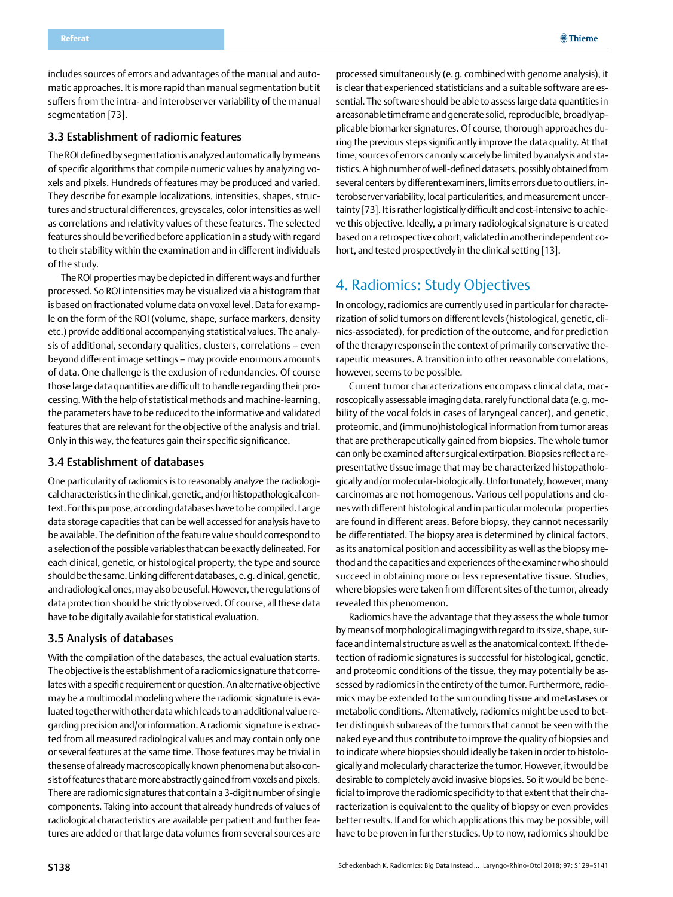<span id="page-9-0"></span>includes sources of errors and advantages of the manual and automatic approaches. It is more rapid than manual segmentation but it suffers from the intra- and interobserver variability of the manual segmentation [73].

### 3.3 Establishment of radiomic features

The ROI defined by segmentation is analyzed automatically by means of specific algorithms that compile numeric values by analyzing voxels and pixels. Hundreds of features may be produced and varied. They describe for example localizations, intensities, shapes, structures and structural differences, greyscales, color intensities as well as correlations and relativity values of these features. The selected features should be verified before application in a study with regard to their stability within the examination and in different individuals of the study.

The ROI properties may be depicted in different ways and further processed. So ROI intensities may be visualized via a histogram that is based on fractionated volume data on voxel level. Data for example on the form of the ROI (volume, shape, surface markers, density etc.) provide additional accompanying statistical values. The analysis of additional, secondary qualities, clusters, correlations – even beyond different image settings – may provide enormous amounts of data. One challenge is the exclusion of redundancies. Of course those large data quantities are difficult to handle regarding their processing. With the help of statistical methods and machine-learning, the parameters have to be reduced to the informative and validated features that are relevant for the objective of the analysis and trial. Only in this way, the features gain their specific significance.

## 3.4 Establishment of databases

One particularity of radiomics is to reasonably analyze the radiological characteristics in the clinical, genetic, and/or histopathological context. For this purpose, according databases have to be compiled. Large data storage capacities that can be well accessed for analysis have to be available. The definition of the feature value should correspond to a selection of the possible variables that can be exactly delineated. For each clinical, genetic, or histological property, the type and source should be the same. Linking different databases, e.g. clinical, genetic, and radiological ones, may also be useful. However, the regulations of data protection should be strictly observed. Of course, all these data have to be digitally available for statistical evaluation.

#### 3.5 Analysis of databases

With the compilation of the databases, the actual evaluation starts. The objective is the establishment of a radiomic signature that correlates with a specific requirement or question. An alternative objective may be a multimodal modeling where the radiomic signature is evaluated together with other data which leads to an additional value regarding precision and/or information. A radiomic signature is extracted from all measured radiological values and may contain only one or several features at the same time. Those features may be trivial in the sense of already macroscopically known phenomena but also consist of features that are more abstractly gained from voxels and pixels. There are radiomic signatures that contain a 3-digit number of single components. Taking into account that already hundreds of values of radiological characteristics are available per patient and further features are added or that large data volumes from several sources are

processed simultaneously (e.g. combined with genome analysis), it is clear that experienced statisticians and a suitable software are essential. The software should be able to assess large data quantities in a reasonable timeframe and generate solid, reproducible, broadly applicable biomarker signatures. Of course, thorough approaches during the previous steps significantly improve the data quality. At that time, sources of errors can only scarcely be limited by analysis and statistics. A high number of well-defined datasets, possibly obtained from several centers by different examiners, limits errors due to outliers, interobserver variability, local particularities, and measurement uncertainty [73]. It is rather logistically difficult and cost-intensive to achieve this objective. Ideally, a primary radiological signature is created based on a retrospective cohort, validated in another independent cohort, and tested prospectively in the clinical setting [13].

## 4. Radiomics: Study Objectives

In oncology, radiomics are currently used in particular for characterization of solid tumors on different levels (histological, genetic, clinics-associated), for prediction of the outcome, and for prediction of the therapy response in the context of primarily conservative therapeutic measures. A transition into other reasonable correlations, however, seems to be possible.

Current tumor characterizations encompass clinical data, macroscopically assessable imaging data, rarely functional data (e.g. mobility of the vocal folds in cases of laryngeal cancer), and genetic, proteomic, and (immuno)histological information from tumor areas that are pretherapeutically gained from biopsies. The whole tumor can only be examined after surgical extirpation. Biopsies reflect a representative tissue image that may be characterized histopathologically and/or molecular-biologically. Unfortunately, however, many carcinomas are not homogenous. Various cell populations and clones with different histological and in particular molecular properties are found in different areas. Before biopsy, they cannot necessarily be differentiated. The biopsy area is determined by clinical factors, as its anatomical position and accessibility as well as the biopsy method and the capacities and experiences of the examiner who should succeed in obtaining more or less representative tissue. Studies, where biopsies were taken from different sites of the tumor, already revealed this phenomenon.

Radiomics have the advantage that they assess the whole tumor by means of morphological imaging with regard to its size, shape, surface and internal structure as well as the anatomical context. If the detection of radiomic signatures is successful for histological, genetic, and proteomic conditions of the tissue, they may potentially be assessed by radiomics in the entirety of the tumor. Furthermore, radiomics may be extended to the surrounding tissue and metastases or metabolic conditions. Alternatively, radiomics might be used to better distinguish subareas of the tumors that cannot be seen with the naked eye and thus contribute to improve the quality of biopsies and to indicate where biopsies should ideally be taken in order to histologically and molecularly characterize the tumor. However, it would be desirable to completely avoid invasive biopsies. So it would be beneficial to improve the radiomic specificity to that extent that their characterization is equivalent to the quality of biopsy or even provides better results. If and for which applications this may be possible, will have to be proven in further studies. Up to now, radiomics should be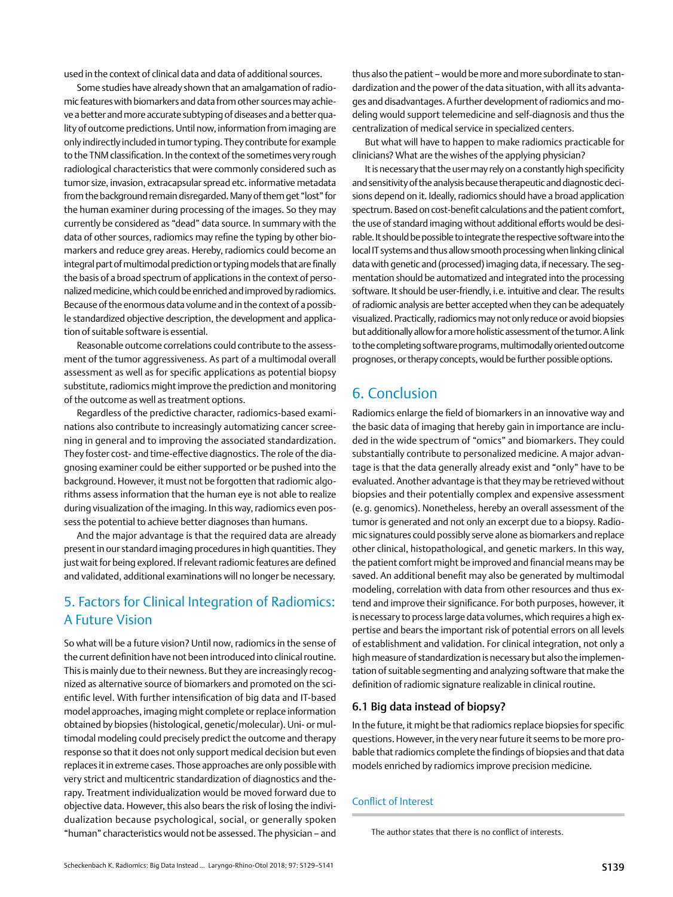<span id="page-10-0"></span>used in the context of clinical data and data of additional sources.

Some studies have already shown that an amalgamation of radiomic features with biomarkers and data from other sources may achieve a better and more accurate subtyping of diseases and a better quality of outcome predictions. Until now, information from imaging are only indirectly included in tumor typing. They contribute for example to the TNM classification. In the context of the sometimes very rough radiological characteristics that were commonly considered such as tumor size, invasion, extracapsular spread etc. informative metadata from the background remain disregarded. Many of them get "lost" for the human examiner during processing of the images. So they may currently be considered as "dead" data source. In summary with the data of other sources, radiomics may refine the typing by other biomarkers and reduce grey areas. Hereby, radiomics could become an integral part of multimodal prediction or typing models that are finally the basis of a broad spectrum of applications in the context of personalized medicine, which could be enriched and improved by radiomics. Because of the enormous data volume and in the context of a possible standardized objective description, the development and application of suitable software is essential.

Reasonable outcome correlations could contribute to the assessment of the tumor aggressiveness. As part of a multimodal overall assessment as well as for specific applications as potential biopsy substitute, radiomics might improve the prediction and monitoring of the outcome as well as treatment options.

Regardless of the predictive character, radiomics-based examinations also contribute to increasingly automatizing cancer screening in general and to improving the associated standardization. They foster cost- and time-effective diagnostics. The role of the diagnosing examiner could be either supported or be pushed into the background. However, it must not be forgotten that radiomic algorithms assess information that the human eye is not able to realize during visualization of the imaging. In this way, radiomics even possess the potential to achieve better diagnoses than humans.

And the major advantage is that the required data are already present in our standard imaging procedures in high quantities. They just wait for being explored. If relevant radiomic features are defined and validated, additional examinations will no longer be necessary.

# 5. Factors for Clinical Integration of Radiomics: A Future Vision

So what will be a future vision? Until now, radiomics in the sense of the current definition have not been introduced into clinical routine. This is mainly due to their newness. But they are increasingly recognized as alternative source of biomarkers and promoted on the scientific level. With further intensification of big data and IT-based model approaches, imaging might complete or replace information obtained by biopsies (histological, genetic/molecular). Uni- or multimodal modeling could precisely predict the outcome and therapy response so that it does not only support medical decision but even replaces it in extreme cases. Those approaches are only possible with very strict and multicentric standardization of diagnostics and therapy. Treatment individualization would be moved forward due to objective data. However, this also bears the risk of losing the individualization because psychological, social, or generally spoken "human" characteristics would not be assessed. The physician – and thus also the patient – would be more and more subordinate to standardization and the power of the data situation, with all its advantages and disadvantages. A further development of radiomics and modeling would support telemedicine and self-diagnosis and thus the centralization of medical service in specialized centers.

But what will have to happen to make radiomics practicable for clinicians? What are the wishes of the applying physician?

It is necessary that the user may rely on a constantly high specificity and sensitivity of the analysis because therapeutic and diagnostic decisions depend on it. Ideally, radiomics should have a broad application spectrum. Based on cost-benefit calculations and the patient comfort, the use of standard imaging without additional efforts would be desirable. It should be possible to integrate the respective software into the local IT systems and thus allow smooth processing when linking clinical data with genetic and (processed) imaging data, if necessary. The segmentation should be automatized and integrated into the processing software. It should be user-friendly, i.e. intuitive and clear. The results of radiomic analysis are better accepted when they can be adequately visualized. Practically, radiomics may not only reduce or avoid biopsies but additionally allow for a more holistic assessment of the tumor. A link to the completing software programs, multimodally oriented outcome prognoses, or therapy concepts, would be further possible options.

# 6. Conclusion

Radiomics enlarge the field of biomarkers in an innovative way and the basic data of imaging that hereby gain in importance are included in the wide spectrum of "omics" and biomarkers. They could substantially contribute to personalized medicine. A major advantage is that the data generally already exist and "only" have to be evaluated. Another advantage is that they may be retrieved without biopsies and their potentially complex and expensive assessment (e.g. genomics). Nonetheless, hereby an overall assessment of the tumor is generated and not only an excerpt due to a biopsy. Radiomic signatures could possibly serve alone as biomarkers and replace other clinical, histopathological, and genetic markers. In this way, the patient comfort might be improved and financial means may be saved. An additional benefit may also be generated by multimodal modeling, correlation with data from other resources and thus extend and improve their significance. For both purposes, however, it is necessary to process large data volumes, which requires a high expertise and bears the important risk of potential errors on all levels of establishment and validation. For clinical integration, not only a high measure of standardization is necessary but also the implementation of suitable segmenting and analyzing software that make the definition of radiomic signature realizable in clinical routine.

## 6.1 Big data instead of biopsy?

In the future, it might be that radiomics replace biopsies for specific questions. However, in the very near future it seems to be more probable that radiomics complete the findings of biopsies and that data models enriched by radiomics improve precision medicine.

## Conflict of Interest

The author states that there is no conflict of interests.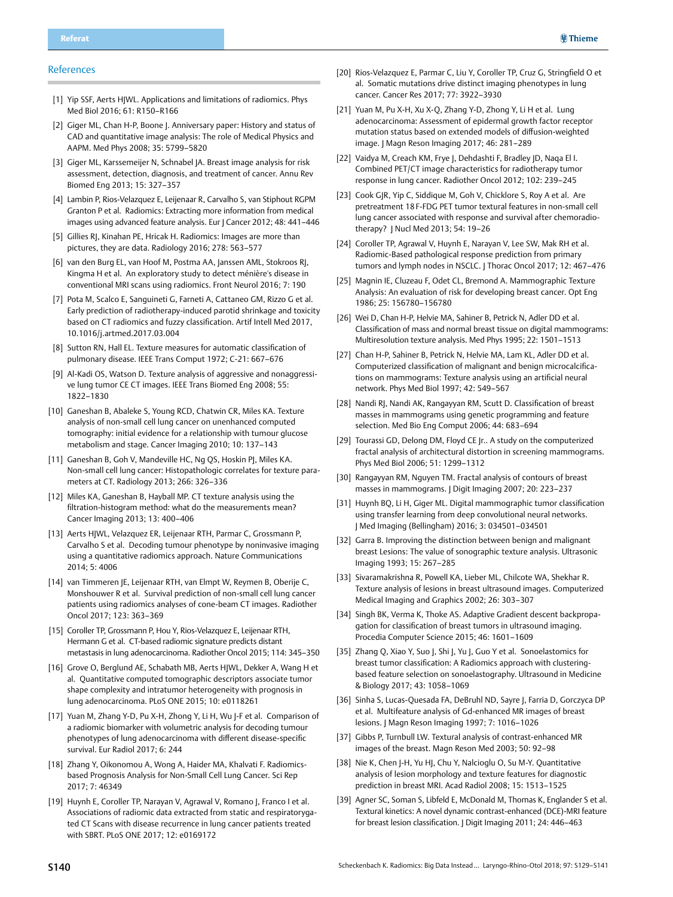#### <span id="page-11-0"></span>References

- [1] Yip SSF, Aerts HJWL. Applications and limitations of radiomics. Phys Med Biol 2016; 61: R150–R166
- [2] Giger ML, Chan H-P, Boone J. Anniversary paper: History and status of CAD and quantitative image analysis: The role of Medical Physics and AAPM. Med Phys 2008; 35: 5799–5820
- [3] Giger ML, Karssemeijer N, Schnabel JA. Breast image analysis for risk assessment, detection, diagnosis, and treatment of cancer. Annu Rev Biomed Eng 2013; 15: 327–357
- [4] Lambin P, Rios-Velazquez E, Leijenaar R, Carvalho S, van Stiphout RGPM Granton P et al. Radiomics: Extracting more information from medical images using advanced feature analysis. Eur J Cancer 2012; 48: 441–446
- [5] Gillies RJ, Kinahan PE, Hricak H. Radiomics: Images are more than pictures, they are data. Radiology 2016; 278: 563–577
- [6] van den Burg EL, van Hoof M, Postma AA, Janssen AML, Stokroos RJ, Kingma H et al. An exploratory study to detect ménière's disease in conventional MRI scans using radiomics. Front Neurol 2016; 7: 190
- [7] Pota M, Scalco E, Sanguineti G, Farneti A, Cattaneo GM, Rizzo G et al. Early prediction of radiotherapy-induced parotid shrinkage and toxicity based on CT radiomics and fuzzy classification. Artif Intell Med 2017, 10.1016/j.artmed.2017.03.004
- [8] Sutton RN, Hall EL. Texture measures for automatic classification of pulmonary disease. IEEE Trans Comput 1972; C-21: 667–676
- [9] Al-Kadi OS, Watson D. Texture analysis of aggressive and nonaggressive lung tumor CE CT images. IEEE Trans Biomed Eng 2008; 55: 1822–1830
- [10] Ganeshan B, Abaleke S, Young RCD, Chatwin CR, Miles KA. Texture analysis of non-small cell lung cancer on unenhanced computed tomography: initial evidence for a relationship with tumour glucose metabolism and stage. Cancer Imaging 2010; 10: 137–143
- [11] Ganeshan B, Goh V, Mandeville HC, Ng QS, Hoskin PJ, Miles KA. Non-small cell lung cancer: Histopathologic correlates for texture parameters at CT. Radiology 2013; 266: 326–336
- [12] Miles KA, Ganeshan B, Hayball MP. CT texture analysis using the filtration-histogram method: what do the measurements mean? Cancer Imaging 2013; 13: 400–406
- [13] Aerts HJWL, Velazquez ER, Leijenaar RTH, Parmar C, Grossmann P, Carvalho S et al. Decoding tumour phenotype by noninvasive imaging using a quantitative radiomics approach. Nature Communications 2014; 5: 4006
- [14] van Timmeren JE, Leijenaar RTH, van Elmpt W, Reymen B, Oberije C, Monshouwer R et al. Survival prediction of non-small cell lung cancer patients using radiomics analyses of cone-beam CT images. Radiother Oncol 2017; 123: 363–369
- [15] Coroller TP, Grossmann P, Hou Y, Rios-Velazquez E, Leijenaar RTH, Hermann G et al. CT-based radiomic signature predicts distant metastasis in lung adenocarcinoma. Radiother Oncol 2015; 114: 345–350
- [16] Grove O, Berglund AE, Schabath MB, Aerts HJWL, Dekker A, Wang H et al. Quantitative computed tomographic descriptors associate tumor shape complexity and intratumor heterogeneity with prognosis in lung adenocarcinoma. PLoS ONE 2015; 10: e0118261
- [17] Yuan M, Zhang Y-D, Pu X-H, Zhong Y, Li H, Wu J-F et al. Comparison of a radiomic biomarker with volumetric analysis for decoding tumour phenotypes of lung adenocarcinoma with different disease-specific survival. Eur Radiol 2017; 6: 244
- [18] Zhang Y, Oikonomou A, Wong A, Haider MA, Khalvati F. Radiomicsbased Prognosis Analysis for Non-Small Cell Lung Cancer. Sci Rep 2017; 7: 46349
- [19] Huynh E, Coroller TP, Narayan V, Agrawal V, Romano J, Franco I et al. Associations of radiomic data extracted from static and respiratorygated CT Scans with disease recurrence in lung cancer patients treated with SBRT. PLoS ONE 2017; 12: e0169172
- [20] Rios-Velazquez E, Parmar C, Liu Y, Coroller TP, Cruz G, Stringfield O et al. Somatic mutations drive distinct imaging phenotypes in lung cancer. Cancer Res 2017; 77: 3922–3930
- [21] Yuan M, Pu X-H, Xu X-Q, Zhang Y-D, Zhong Y, Li H et al. Lung adenocarcinoma: Assessment of epidermal growth factor receptor mutation status based on extended models of diffusion-weighted image. J Magn Reson Imaging 2017; 46: 281–289
- [22] Vaidya M, Creach KM, Frye J, Dehdashti F, Bradley JD, Naqa El I. Combined PET/CT image characteristics for radiotherapy tumor response in lung cancer. Radiother Oncol 2012; 102: 239–245
- [23] Cook GJR, Yip C, Siddique M, Goh V, Chicklore S, Roy A et al. Are pretreatment 18 F-FDG PET tumor textural features in non-small cell lung cancer associated with response and survival after chemoradiotherapy? J Nucl Med 2013; 54: 19–26
- [24] Coroller TP, Agrawal V, Huynh E, Narayan V, Lee SW, Mak RH et al. Radiomic-Based pathological response prediction from primary tumors and lymph nodes in NSCLC. | Thorac Oncol 2017; 12: 467-476
- [25] Magnin IE, Cluzeau F, Odet CL, Bremond A. Mammographic Texture Analysis: An evaluation of risk for developing breast cancer. Opt Eng 1986; 25: 156780–156780
- [26] Wei D, Chan H-P, Helvie MA, Sahiner B, Petrick N, Adler DD et al. Classification of mass and normal breast tissue on digital mammograms: Multiresolution texture analysis. Med Phys 1995; 22: 1501–1513
- [27] Chan H-P, Sahiner B, Petrick N, Helvie MA, Lam KL, Adler DD et al. Computerized classification of malignant and benign microcalcifications on mammograms: Texture analysis using an artificial neural network. Phys Med Biol 1997; 42: 549–567
- [28] Nandi RJ, Nandi AK, Rangayyan RM, Scutt D, Classification of breast masses in mammograms using genetic programming and feature selection. Med Bio Eng Comput 2006; 44: 683–694
- [29] Tourassi GD, Delong DM, Floyd CE Jr.. A study on the computerized fractal analysis of architectural distortion in screening mammograms. Phys Med Biol 2006; 51: 1299–1312
- [30] Rangayyan RM, Nguyen TM. Fractal analysis of contours of breast masses in mammograms. J Digit Imaging 2007; 20: 223–237
- [31] Huynh BQ, Li H, Giger ML. Digital mammographic tumor classification using transfer learning from deep convolutional neural networks. J Med Imaging (Bellingham) 2016; 3: 034501–034501
- [32] Garra B. Improving the distinction between benign and malignant breast Lesions: The value of sonographic texture analysis. Ultrasonic Imaging 1993; 15: 267–285
- [33] Sivaramakrishna R, Powell KA, Lieber ML, Chilcote WA, Shekhar R. Texture analysis of lesions in breast ultrasound images. Computerized Medical Imaging and Graphics 2002; 26: 303–307
- [34] Singh BK, Verma K, Thoke AS. Adaptive Gradient descent backpropagation for classification of breast tumors in ultrasound imaging. Procedia Computer Science 2015; 46: 1601–1609
- [35] Zhang Q, Xiao Y, Suo J, Shi J, Yu J, Guo Y et al. Sonoelastomics for breast tumor classification: A Radiomics approach with clusteringbased feature selection on sonoelastography. Ultrasound in Medicine & Biology 2017; 43: 1058–1069
- [36] Sinha S, Lucas-Quesada FA, DeBruhl ND, Sayre J, Farria D, Gorczyca DP et al. Multifeature analysis of Gd-enhanced MR images of breast lesions. J Magn Reson Imaging 1997; 7: 1016–1026
- [37] Gibbs P, Turnbull LW. Textural analysis of contrast-enhanced MR images of the breast. Magn Reson Med 2003; 50: 92–98
- [38] Nie K, Chen J-H, Yu HJ, Chu Y, Nalcioglu O, Su M-Y. Quantitative analysis of lesion morphology and texture features for diagnostic prediction in breast MRI. Acad Radiol 2008; 15: 1513–1525
- [39] Agner SC, Soman S, Libfeld E, McDonald M, Thomas K, Englander S et al. Textural kinetics: A novel dynamic contrast-enhanced (DCE)-MRI feature for breast lesion classification. | Digit Imaging 2011; 24: 446-463